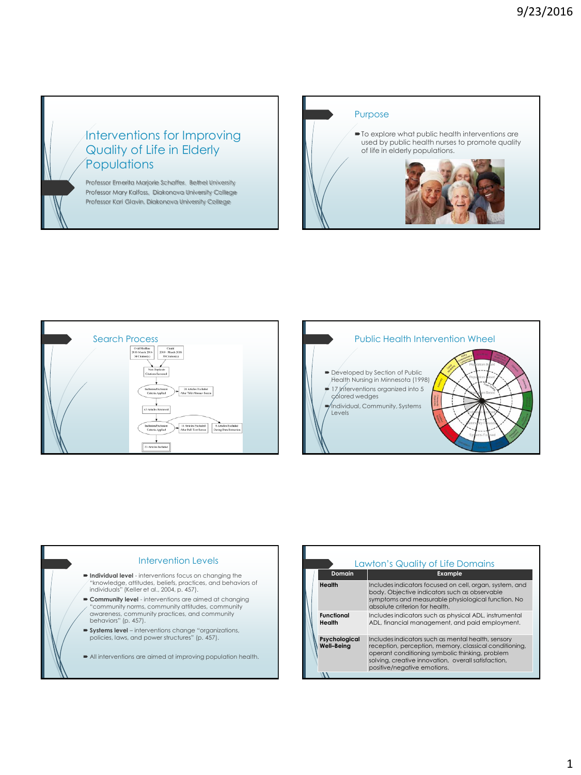## Interventions for Improving Quality of Life in Elderly **Populations**

Professor Emerita Marjorie Schaffer, Bethel University Professor Mary Kalfoss, Diakonova University College Professor Kari Glavin, Diakonova University College









| Lawton's Quality of Life Domains |                                                                                                                                                                                                                                                       |  |  |
|----------------------------------|-------------------------------------------------------------------------------------------------------------------------------------------------------------------------------------------------------------------------------------------------------|--|--|
| Domain                           | <b>Example</b>                                                                                                                                                                                                                                        |  |  |
| Health                           | Includes indicators focused on cell, organ, system, and<br>body. Objective indicators such as observable<br>symptoms and measurable physiological function. No<br>absolute criterion for health.                                                      |  |  |
| <b>Functional</b><br>Health      | Includes indicators such as physical ADL, instrumental<br>ADL, financial management, and paid employment.                                                                                                                                             |  |  |
| Psychological<br>Well-Beina      | Includes indicators such as mental health, sensory<br>reception, perception, memory, classical conditioning,<br>operant conditioning symbolic thinking, problem<br>solving, creative innovation, overall satisfaction,<br>positive/negative emotions. |  |  |
|                                  |                                                                                                                                                                                                                                                       |  |  |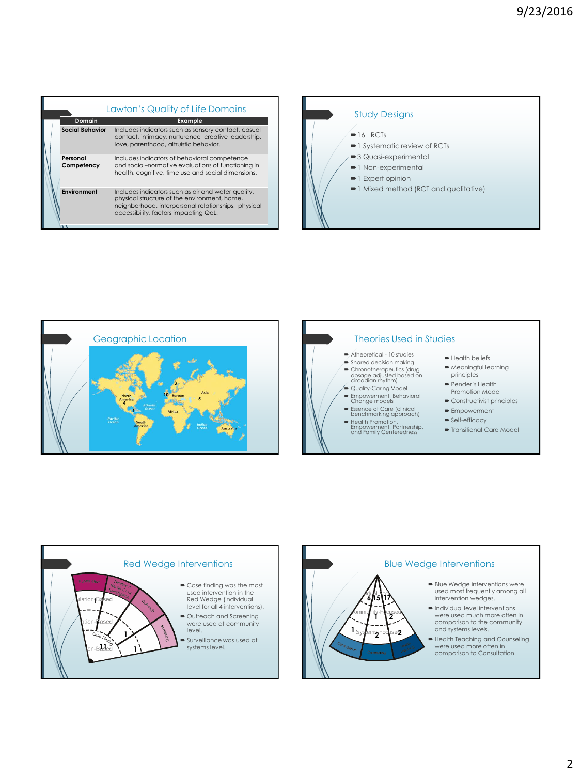| Lawton's Quality of Life Domains |                                                                                                                                                                                                    |  |  |
|----------------------------------|----------------------------------------------------------------------------------------------------------------------------------------------------------------------------------------------------|--|--|
| Domain                           | Example                                                                                                                                                                                            |  |  |
| <b>Social Behavior</b>           | Includes indicators such as sensory contact, casual<br>contact, intimacy, nurturance creative leadership,<br>love, parenthood, altruistic behavior.                                                |  |  |
| Personal<br>Competency           | Includes indicators of behavioral competence<br>and social-normative evaluations of functioning in<br>health, cognitive, time use and social dimensions.                                           |  |  |
| Environment                      | Includes indicators such as air and water quality,<br>physical structure of the environment, home,<br>neighborhood, interpersonal relationships, physical<br>accessibility, factors impacting QoL. |  |  |





## Theories Used in Studies

- Atheoretical 10 studies Shared decision making
- 
- Chronotherapeutics (drug dosage adjusted based on circadian rhythm)
- ●<br>● Quality-Caring Model
- Empowerment, Behavioral Change models
- Essence of Care (clinical benchmarking approach)
- Health Promotion, Empowerment, Partnership, and Family Centeredness
- **Health beliefs**
- Meaningful learning principles
- Pender's Health Promotion Model
- **Constructivist principles**
- **Empowerment**
- Self-efficacy
- Transitional Care Model



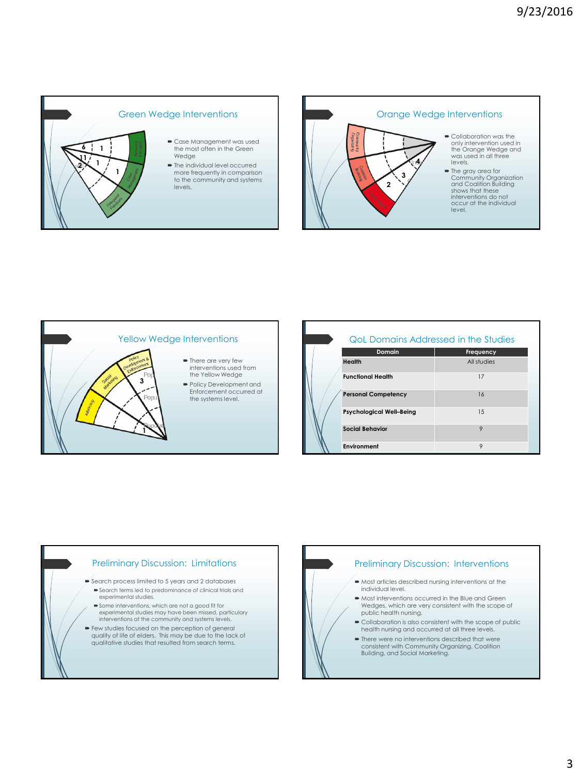



## Yellow Wedge Interventions  $\blacksquare$  There are very few interventions used from the Yellow Wedge Policy Development and Enforcement occurred at the systems level. **3 1**

|  | <b>QoL Domains Addressed in the Studies</b> |             |  |
|--|---------------------------------------------|-------------|--|
|  | Domain                                      | Frequency   |  |
|  | Health                                      | All studies |  |
|  | <b>Functional Health</b>                    | 17          |  |
|  | <b>Personal Competency</b>                  | 16          |  |
|  | <b>Psychological Well-Being</b>             | 1.5         |  |
|  | <b>Social Behavior</b>                      | 9           |  |
|  | Environment                                 | 9           |  |